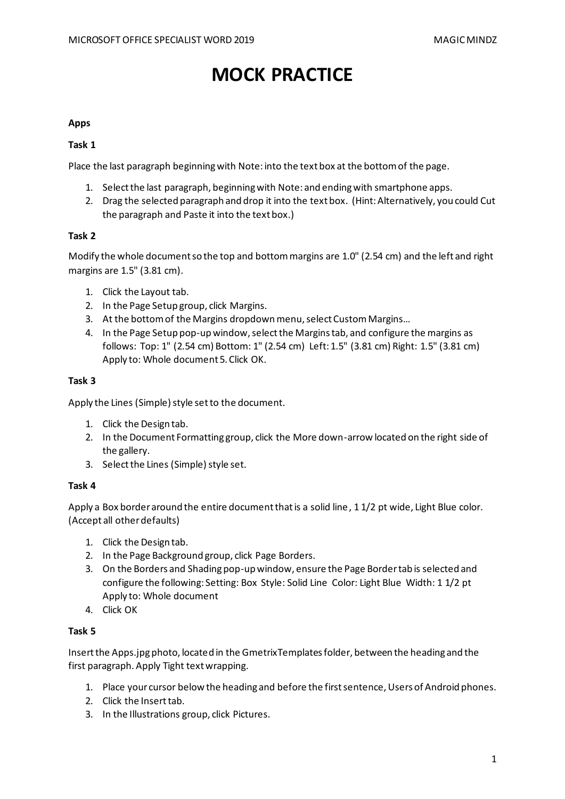# **MOCK PRACTICE**

# **Apps**

# **Task 1**

Place the last paragraph beginning with Note: into the text box at the bottom of the page.

- 1. Select the last paragraph, beginning with Note: and ending with smartphone apps.
- 2. Drag the selected paragraph and drop it into the text box. (Hint: Alternatively, you could Cut the paragraph and Paste it into the text box.)

## **Task 2**

Modify the whole document so the top and bottom margins are 1.0" (2.54 cm) and the left and right margins are 1.5" (3.81 cm).

- 1. Click the Layout tab.
- 2. In the Page Setup group, click Margins.
- 3. At the bottom of the Margins dropdown menu, select Custom Margins…
- 4. In the Page Setup pop-up window, select the Margins tab, and configure the margins as follows: Top: 1" (2.54 cm) Bottom: 1" (2.54 cm) Left: 1.5" (3.81 cm) Right: 1.5" (3.81 cm) Apply to: Whole document 5. Click OK.

## **Task 3**

Apply the Lines (Simple) style set to the document.

- 1. Click the Design tab.
- 2. In the Document Formatting group, click the More down-arrow located on the right side of the gallery.
- 3. Select the Lines (Simple) style set.

## **Task 4**

Apply a Box border around the entire document that is a solid line, 1 1/2 pt wide, Light Blue color. (Accept all other defaults)

- 1. Click the Design tab.
- 2. In the Page Background group, click Page Borders.
- 3. On the Borders and Shading pop-up window, ensure the Page Border tab is selected and configure the following: Setting: Box Style: Solid Line Color: Light Blue Width: 1 1/2 pt Apply to: Whole document
- 4. Click OK

## **Task 5**

Insert the Apps.jpg photo, located in the GmetrixTemplates folder, between the heading and the first paragraph. Apply Tight text wrapping.

- 1. Place your cursor below the heading and before the first sentence, Users of Android phones.
- 2. Click the Insert tab.
- 3. In the Illustrations group, click Pictures.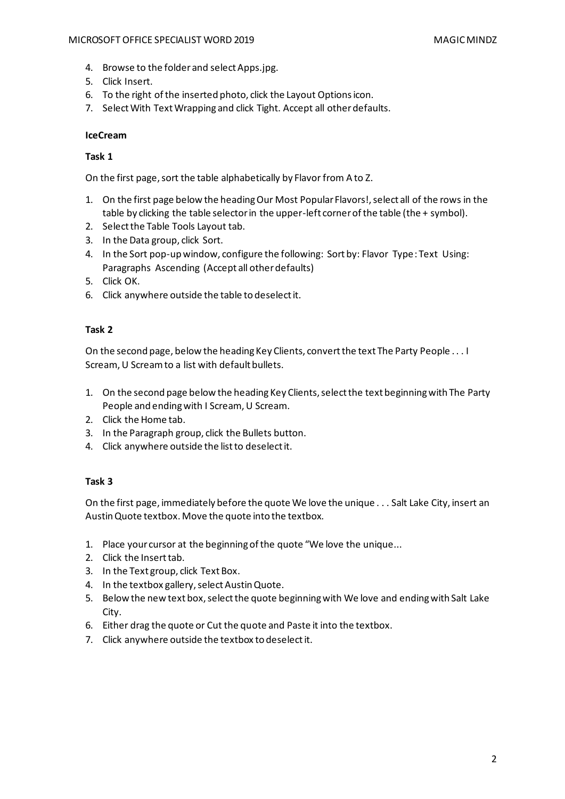## MICROSOFT OFFICE SPECIALIST WORD 2019 MAGIC MINDZ

- 4. Browse to the folder and select Apps.jpg.
- 5. Click Insert.
- 6. To the right of the inserted photo, click the Layout Options icon.
- 7. Select With Text Wrapping and click Tight. Accept all other defaults.

# **IceCream**

# **Task 1**

On the first page, sort the table alphabetically by Flavor from A to Z.

- 1. On the first page below the heading Our Most Popular Flavors!, select all of the rows in the table by clicking the table selector in the upper-left corner of the table (the + symbol).
- 2. Select the Table Tools Layout tab.
- 3. In the Data group, click Sort.
- 4. In the Sort pop-up window, configure the following: Sort by: Flavor Type: Text Using: Paragraphs Ascending (Accept all other defaults)
- 5. Click OK.
- 6. Click anywhere outside the table to deselect it.

# **Task 2**

On the second page, below the heading Key Clients, convert the text The Party People . . . I Scream, U Scream to a list with default bullets.

- 1. On the second page below the heading Key Clients, select the text beginning with The Party People and ending with I Scream, U Scream.
- 2. Click the Home tab.
- 3. In the Paragraph group, click the Bullets button.
- 4. Click anywhere outside the list to deselect it.

# **Task 3**

On the first page, immediately before the quote We love the unique . . . Salt Lake City, insert an Austin Quote textbox. Move the quote into the textbox.

- 1. Place your cursor at the beginning of the quote "We love the unique...
- 2. Click the Insert tab.
- 3. In the Text group, click Text Box.
- 4. In the textbox gallery, select Austin Quote.
- 5. Below the new text box, select the quote beginning with We love and ending with Salt Lake City.
- 6. Either drag the quote or Cut the quote and Paste it into the textbox.
- 7. Click anywhere outside the textbox to deselect it.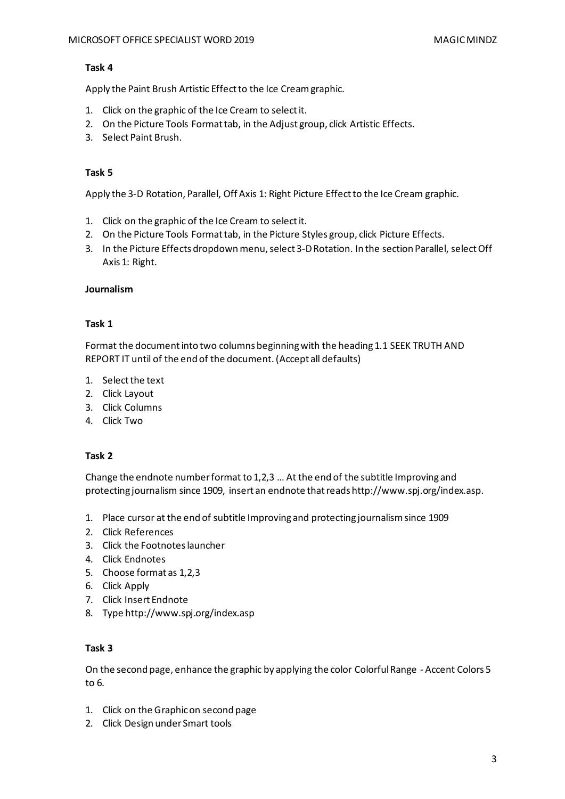Apply the Paint Brush Artistic Effect to the Ice Cream graphic.

- 1. Click on the graphic of the Ice Cream to select it.
- 2. On the Picture Tools Format tab, in the Adjust group, click Artistic Effects.
- 3. Select Paint Brush.

## **Task 5**

Apply the 3-D Rotation, Parallel, Off Axis 1: Right Picture Effect to the Ice Cream graphic.

- 1. Click on the graphic of the Ice Cream to select it.
- 2. On the Picture Tools Format tab, in the Picture Styles group, click Picture Effects.
- 3. In the Picture Effects dropdown menu, select 3-D Rotation. In the section Parallel, select Off Axis 1: Right.

## **Journalism**

## **Task 1**

Format the document into two columns beginning with the heading 1.1 SEEK TRUTH AND REPORT IT until of the end of the document. (Accept all defaults)

- 1. Select the text
- 2. Click Layout
- 3. Click Columns
- 4. Click Two

## **Task 2**

Change the endnote number format to 1,2,3 … At the end of the subtitle Improving and protecting journalism since 1909, insert an endnote that reads http://www.spj.org/index.asp.

- 1. Place cursor at the end of subtitle Improving and protecting journalism since 1909
- 2. Click References
- 3. Click the Footnotes launcher
- 4. Click Endnotes
- 5. Choose format as 1,2,3
- 6. Click Apply
- 7. Click Insert Endnote
- 8. Type http://www.spj.org/index.asp

## **Task 3**

On the second page, enhance the graphic by applying the color Colorful Range - Accent Colors 5 to 6.

- 1. Click on the Graphic on second page
- 2. Click Design under Smart tools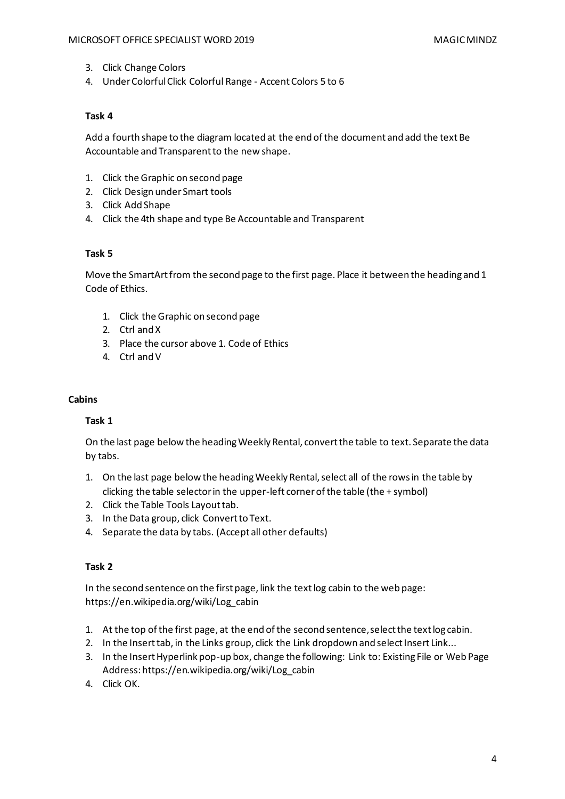- 3. Click Change Colors
- 4. Under Colorful Click Colorful Range Accent Colors 5 to 6

Add a fourth shape to the diagram located at the end of the document and add the text Be Accountable and Transparent to the new shape.

- 1. Click the Graphic on second page
- 2. Click Design under Smart tools
- 3. Click Add Shape
- 4. Click the 4th shape and type Be Accountable and Transparent

## **Task 5**

Move the SmartArt from the second page to the first page. Place it between the heading and 1 Code of Ethics.

- 1. Click the Graphic on second page
- 2. Ctrl and X
- 3. Place the cursor above 1. Code of Ethics
- 4. Ctrl and V

#### **Cabins**

## **Task 1**

On the last page below the heading Weekly Rental, convert the table to text. Separate the data by tabs.

- 1. On the last page below the heading Weekly Rental, select all of the rows in the table by clicking the table selector in the upper-left corner of the table (the + symbol)
- 2. Click the Table Tools Layout tab.
- 3. In the Data group, click Convert to Text.
- 4. Separate the data by tabs. (Accept all other defaults)

## **Task 2**

In the second sentence on the first page, link the text log cabin to the web page: https://en.wikipedia.org/wiki/Log\_cabin

- 1. At the top of the first page, at the end of the second sentence, select the text log cabin.
- 2. In the Insert tab, in the Links group, click the Link dropdown and select Insert Link...
- 3. In the Insert Hyperlink pop-up box, change the following: Link to: Existing File or Web Page Address: https://en.wikipedia.org/wiki/Log\_cabin
- 4. Click OK.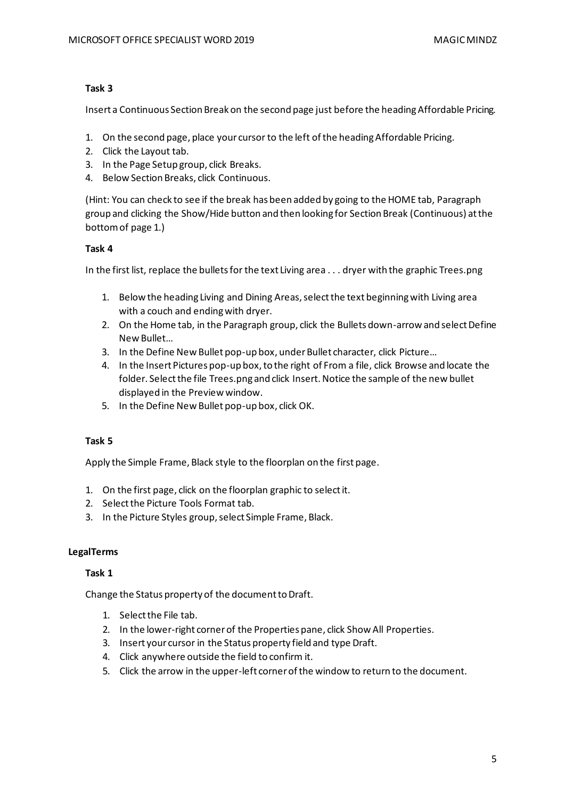Insert a Continuous Section Break on the second page just before the heading Affordable Pricing.

- 1. On the second page, place your cursor to the left of the heading Affordable Pricing.
- 2. Click the Layout tab.
- 3. In the Page Setup group, click Breaks.
- 4. Below Section Breaks, click Continuous.

(Hint: You can check to see if the break has been added by going to the HOME tab, Paragraph group and clicking the Show/Hide button and then looking for Section Break (Continuous) at the bottom of page 1.)

# **Task 4**

In the first list, replace the bullets for the text Living area . . . dryer with the graphic Trees.png

- 1. Below the heading Living and Dining Areas, select the text beginning with Living area with a couch and ending with dryer.
- 2. On the Home tab, in the Paragraph group, click the Bullets down-arrow and select Define New Bullet…
- 3. In the Define New Bullet pop-up box, under Bullet character, click Picture…
- 4. In the Insert Pictures pop-up box, to the right of From a file, click Browse and locate the folder. Select the file Trees.png and click Insert. Notice the sample of the new bullet displayed in the Preview window.
- 5. In the Define New Bullet pop-up box, click OK.

# **Task 5**

Apply the Simple Frame, Black style to the floorplan on the first page.

- 1. On the first page, click on the floorplan graphic to select it.
- 2. Select the Picture Tools Format tab.
- 3. In the Picture Styles group, select Simple Frame, Black.

# **LegalTerms**

## **Task 1**

Change the Status property of the document to Draft.

- 1. Select the File tab.
- 2. In the lower-right corner of the Properties pane, click Show All Properties.
- 3. Insert your cursor in the Status property field and type Draft.
- 4. Click anywhere outside the field to confirm it.
- 5. Click the arrow in the upper-left corner of the window to return to the document.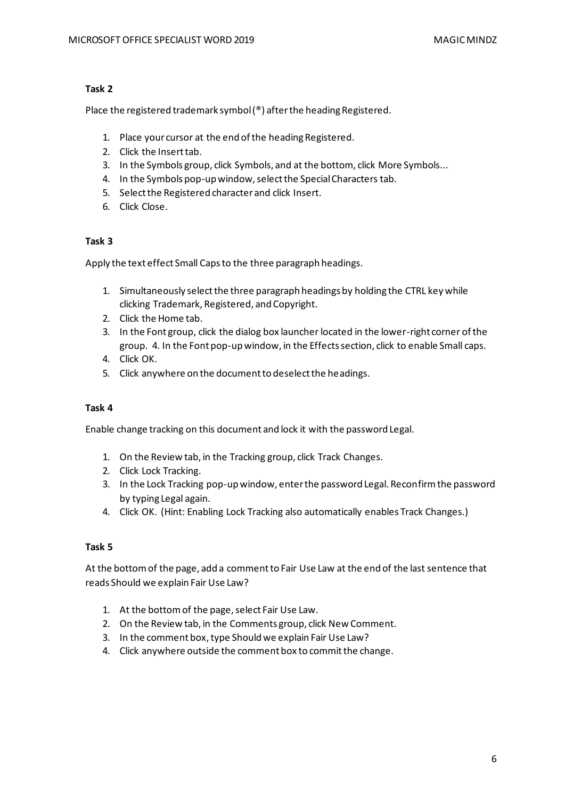Place the registered trademark symbol (®) after the heading Registered.

- 1. Place your cursor at the end of the heading Registered.
- 2. Click the Insert tab.
- 3. In the Symbols group, click Symbols, and at the bottom, click More Symbols...
- 4. In the Symbols pop-up window, select the Special Characters tab.
- 5. Select the Registered character and click Insert.
- 6. Click Close.

## **Task 3**

Apply the text effect Small Caps to the three paragraph headings.

- 1. Simultaneously select the three paragraph headings by holding the CTRL key while clicking Trademark, Registered, and Copyright.
- 2. Click the Home tab.
- 3. In the Font group, click the dialog box launcher located in the lower-right corner of the group. 4. In the Font pop-up window, in the Effects section, click to enable Small caps.
- 4. Click OK.
- 5. Click anywhere on the document to deselect the headings.

## **Task 4**

Enable change tracking on this document and lock it with the password Legal.

- 1. On the Review tab, in the Tracking group, click Track Changes.
- 2. Click Lock Tracking.
- 3. In the Lock Tracking pop-up window, enter the password Legal. Reconfirm the password by typing Legal again.
- 4. Click OK. (Hint: Enabling Lock Tracking also automatically enables Track Changes.)

## **Task 5**

At the bottom of the page, add a comment to Fair Use Law at the end of the last sentence that reads Should we explain Fair Use Law?

- 1. At the bottom of the page, select Fair Use Law.
- 2. On the Review tab, in the Comments group, click New Comment.
- 3. In the comment box, type Should we explain Fair Use Law?
- 4. Click anywhere outside the comment box to commit the change.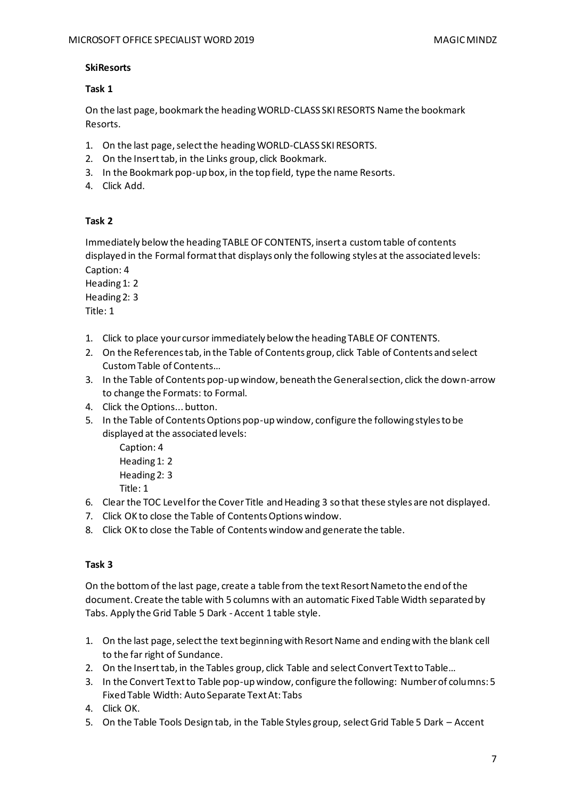## **SkiResorts**

## **Task 1**

On the last page, bookmark the heading WORLD-CLASS SKI RESORTS Name the bookmark Resorts.

- 1. On the last page, select the heading WORLD-CLASS SKI RESORTS.
- 2. On the Insert tab, in the Links group, click Bookmark.
- 3. In the Bookmark pop-up box, in the top field, type the name Resorts.
- 4. Click Add.

## **Task 2**

Immediately below the heading TABLE OF CONTENTS, insert a custom table of contents displayed in the Formal format that displays only the following styles at the associated levels: Caption: 4

Heading 1: 2 Heading 2: 3

Title: 1

- 1. Click to place your cursor immediately below the heading TABLE OF CONTENTS.
- 2. On the References tab, in the Table of Contents group, click Table of Contents and select Custom Table of Contents…
- 3. In the Table of Contents pop-up window, beneath the General section, click the down-arrow to change the Formats: to Formal.
- 4. Click the Options... button.
- 5. In the Table of Contents Options pop-up window, configure the following styles to be displayed at the associated levels:

Caption: 4 Heading 1: 2 Heading 2: 3 Title: 1

- 6. Clear the TOC Level for the Cover Title and Heading 3 so that these styles are not displayed.
- 7. Click OK to close the Table of Contents Options window.
- 8. Click OK to close the Table of Contents window and generate the table.

# **Task 3**

On the bottom of the last page, create a table from the text Resort Nameto the end of the document. Create the table with 5 columns with an automatic Fixed Table Width separated by Tabs. Apply the Grid Table 5 Dark - Accent 1 table style.

- 1. On the last page, select the text beginning with Resort Name and ending with the blank cell to the far right of Sundance.
- 2. On the Insert tab, in the Tables group, click Table and select Convert Text to Table…
- 3. In the Convert Text to Table pop-up window, configure the following: Number of columns: 5 Fixed Table Width: Auto Separate Text At: Tabs
- 4. Click OK.
- 5. On the Table Tools Design tab, in the Table Styles group, select Grid Table 5 Dark Accent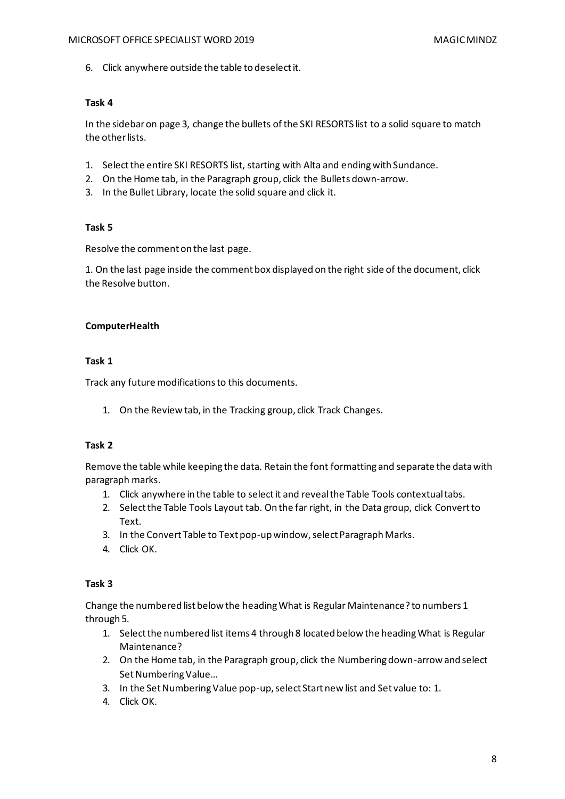6. Click anywhere outside the table to deselect it.

# **Task 4**

In the sidebar on page 3, change the bullets of the SKI RESORTS list to a solid square to match the other lists.

- 1. Select the entire SKI RESORTS list, starting with Alta and ending with Sundance.
- 2. On the Home tab, in the Paragraph group, click the Bullets down-arrow.
- 3. In the Bullet Library, locate the solid square and click it.

## **Task 5**

Resolve the comment on the last page.

1. On the last page inside the comment box displayed on the right side of the document, click the Resolve button.

## **ComputerHealth**

## **Task 1**

Track any future modifications to this documents.

1. On the Review tab, in the Tracking group, click Track Changes.

## **Task 2**

Remove the table while keeping the data. Retain the font formatting and separate the data with paragraph marks.

- 1. Click anywhere in the table to select it and reveal the Table Tools contextual tabs.
- 2. Select the Table Tools Layout tab. On the far right, in the Data group, click Convert to Text.
- 3. In the Convert Table to Text pop-up window, select Paragraph Marks.
- 4. Click OK.

## **Task 3**

Change the numbered list below the heading What is Regular Maintenance? to numbers 1 through 5.

- 1. Select the numbered list items 4 through 8 located below the heading What is Regular Maintenance?
- 2. On the Home tab, in the Paragraph group, click the Numbering down-arrow and select Set Numbering Value…
- 3. In the Set Numbering Value pop-up, select Start new list and Set value to: 1.
- 4. Click OK.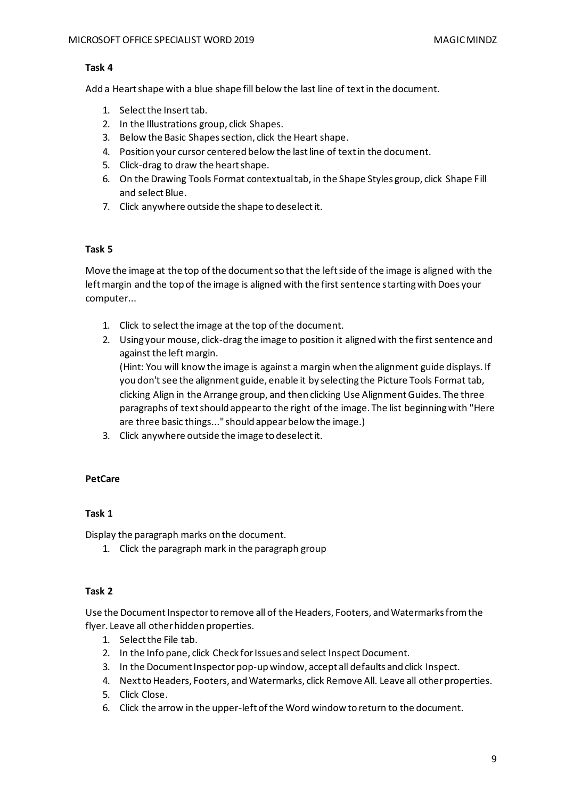Add a Heart shape with a blue shape fill below the last line of text in the document.

- 1. Select the Insert tab.
- 2. In the Illustrations group, click Shapes.
- 3. Below the Basic Shapes section, click the Heart shape.
- 4. Position your cursor centered below the last line of text in the document.
- 5. Click-drag to draw the heart shape.
- 6. On the Drawing Tools Format contextual tab, in the Shape Styles group, click Shape Fill and select Blue.
- 7. Click anywhere outside the shape to deselect it.

## **Task 5**

Move the image at the top of the document so that the left side of the image is aligned with the left margin and the top of the image is aligned with the first sentence starting with Does your computer...

- 1. Click to select the image at the top of the document.
- 2. Using your mouse, click-drag the image to position it aligned with the first sentence and against the left margin.

(Hint: You will know the image is against a margin when the alignment guide displays. If you don't see the alignment guide, enable it by selecting the Picture Tools Format tab, clicking Align in the Arrange group, and then clicking Use Alignment Guides. The three paragraphs of text should appear to the right of the image. The list beginning with "Here are three basic things..." should appear below the image.)

3. Click anywhere outside the image to deselect it.

## **PetCare**

## **Task 1**

Display the paragraph marks on the document.

1. Click the paragraph mark in the paragraph group

## **Task 2**

Use the Document Inspector to remove all of the Headers, Footers, and Watermarks from the flyer. Leave all other hidden properties.

- 1. Select the File tab.
- 2. In the Info pane, click Check for Issues and select Inspect Document.
- 3. In the Document Inspector pop-up window, accept all defaults and click Inspect.
- 4. Next to Headers, Footers, and Watermarks, click Remove All. Leave all other properties.
- 5. Click Close.
- 6. Click the arrow in the upper-left of the Word window to return to the document.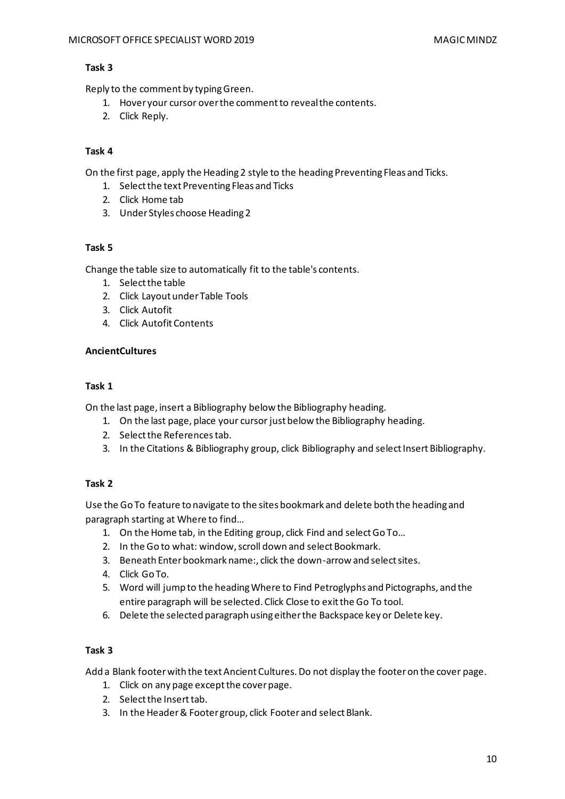Reply to the comment by typing Green.

- 1. Hover your cursor over the comment to reveal the contents.
- 2. Click Reply.

# **Task 4**

On the first page, apply the Heading 2 style to the heading Preventing Fleas and Ticks.

- 1. Select the text Preventing Fleas and Ticks
- 2. Click Home tab
- 3. Under Styles choose Heading 2

## **Task 5**

Change the table size to automatically fit to the table's contents.

- 1. Select the table
- 2. Click Layout under Table Tools
- 3. Click Autofit
- 4. Click Autofit Contents

## **AncientCultures**

## **Task 1**

On the last page, insert a Bibliography below the Bibliography heading.

- 1. On the last page, place your cursor just below the Bibliography heading.
- 2. Select the References tab.
- 3. In the Citations & Bibliography group, click Bibliography and select Insert Bibliography.

# **Task 2**

Use the Go To feature to navigate to the sites bookmark and delete both the heading and paragraph starting at Where to find…

- 1. On the Home tab, in the Editing group, click Find and select Go To…
- 2. In the Go to what: window, scroll down and select Bookmark.
- 3. Beneath Enter bookmark name:, click the down-arrow and select sites.
- 4. Click Go To.
- 5. Word will jump to the heading Where to Find Petroglyphs and Pictographs, and the entire paragraph will be selected. Click Close to exit the Go To tool.
- 6. Delete the selected paragraph using either the Backspace key or Delete key.

# **Task 3**

Add a Blank footer with the text Ancient Cultures. Do not display the footer on the cover page.

- 1. Click on any page except the cover page.
- 2. Select the Insert tab.
- 3. In the Header & Footer group, click Footer and select Blank.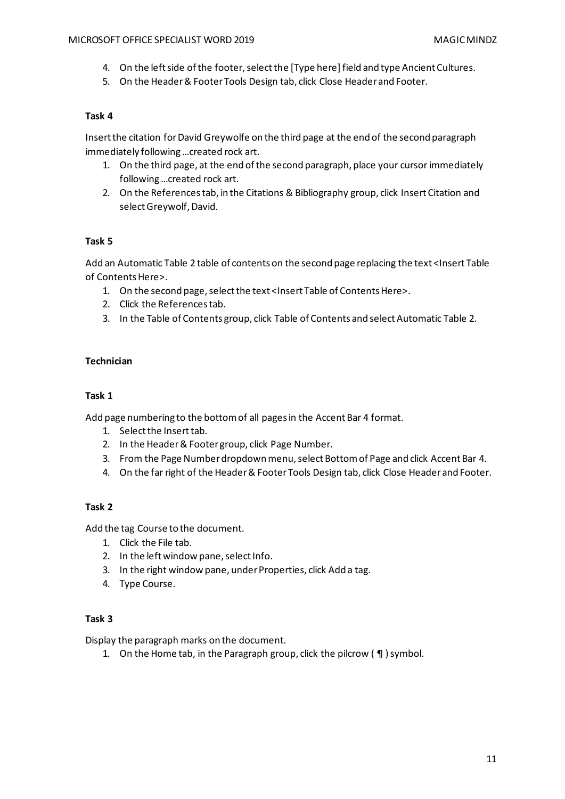- 4. On the left side of the footer, select the [Type here] field and type Ancient Cultures.
- 5. On the Header & Footer Tools Design tab, click Close Header and Footer.

Insert the citation for David Greywolfe on the third page at the end of the second paragraph immediately following …created rock art.

- 1. On the third page, at the end of the second paragraph, place your cursor immediately following …created rock art.
- 2. On the References tab, in the Citations & Bibliography group, click Insert Citation and select Greywolf, David.

# **Task 5**

Add an Automatic Table 2 table of contents on the second page replacing the text <Insert Table of Contents Here>.

- 1. On the second page, select the text <Insert Table of Contents Here>.
- 2. Click the References tab.
- 3. In the Table of Contents group, click Table of Contents and select Automatic Table 2.

## **Technician**

## **Task 1**

Add page numbering to the bottom of all pages in the Accent Bar 4 format.

- 1. Select the Insert tab.
- 2. In the Header & Footer group, click Page Number.
- 3. From the Page Number dropdown menu, select Bottom of Page and click Accent Bar 4.
- 4. On the far right of the Header & Footer Tools Design tab, click Close Header and Footer.

# **Task 2**

Add the tag Course to the document.

- 1. Click the File tab.
- 2. In the left window pane, select Info.
- 3. In the right window pane, under Properties, click Add a tag.
- 4. Type Course.

## **Task 3**

Display the paragraph marks on the document.

1. On the Home tab, in the Paragraph group, click the pilcrow ( ¶ ) symbol.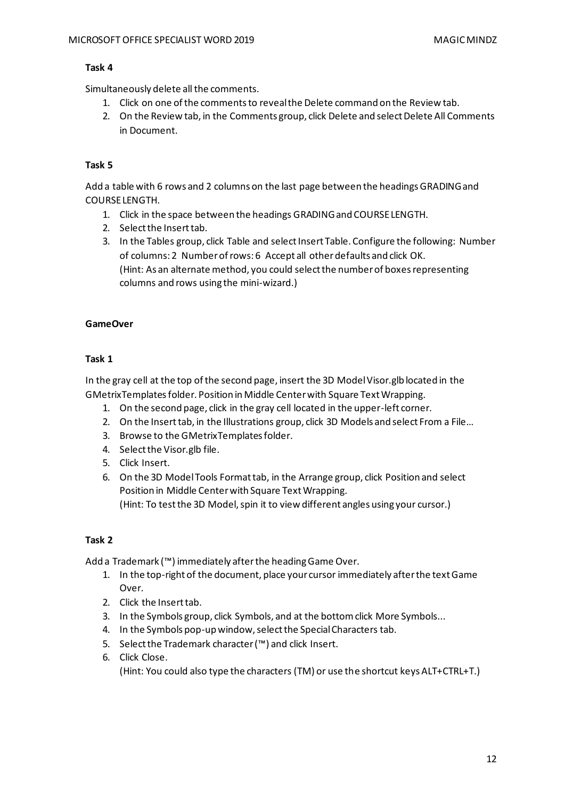Simultaneously delete all the comments.

- 1. Click on one of the comments to reveal the Delete command on the Review tab.
- 2. On the Review tab, in the Comments group, click Delete and select Delete All Comments in Document.

# **Task 5**

Add a table with 6 rows and 2 columns on the last page between the headings GRADING and COURSE LENGTH.

- 1. Click in the space between the headings GRADING and COURSE LENGTH.
- 2. Select the Insert tab.
- 3. In the Tables group, click Table and select Insert Table. Configure the following: Number of columns: 2 Number of rows: 6 Accept all other defaults and click OK. (Hint: As an alternate method, you could select the number of boxes representing columns and rows using the mini-wizard.)

## **GameOver**

## **Task 1**

In the gray cell at the top of the second page, insert the 3D Model Visor.glb located in the GMetrixTemplatesfolder. Position in Middle Center with Square Text Wrapping.

- 1. On the second page, click in the gray cell located in the upper-left corner.
- 2. On the Insert tab, in the Illustrations group, click 3D Models and select From a File…
- 3. Browse to the GMetrixTemplates folder.
- 4. Select the Visor.glb file.
- 5. Click Insert.
- 6. On the 3D Model Tools Format tab, in the Arrange group, click Position and select Position in Middle Center with Square Text Wrapping. (Hint: To test the 3D Model, spin it to view different angles using your cursor.)

## **Task 2**

Add a Trademark (™) immediately after the heading Game Over.

- 1. In the top-right of the document, place your cursor immediately after the text Game Over.
- 2. Click the Insert tab.
- 3. In the Symbols group, click Symbols, and at the bottom click More Symbols...
- 4. In the Symbols pop-up window, select the Special Characters tab.
- 5. Select the Trademark character (™) and click Insert.
- 6. Click Close.

(Hint: You could also type the characters (TM) or use the shortcut keys ALT+CTRL+T.)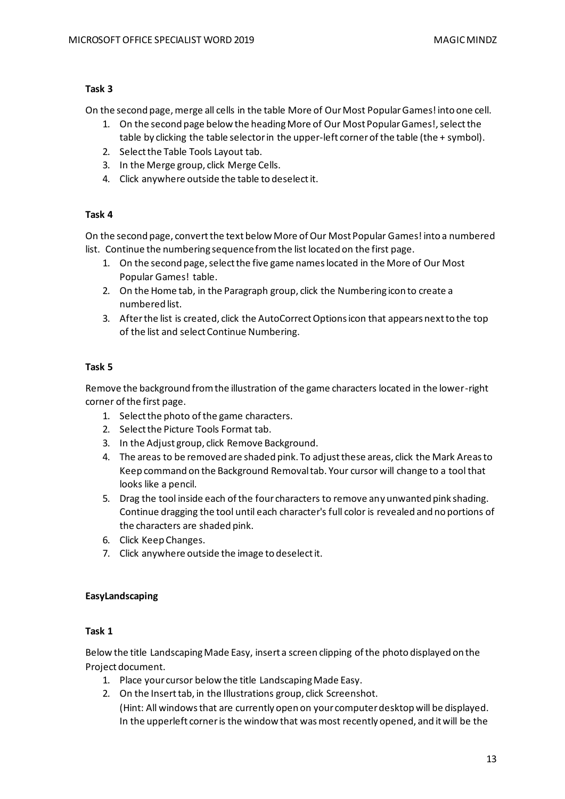On the second page, merge all cells in the table More of Our Most Popular Games! into one cell.

- 1. On the second page below the heading More of Our Most Popular Games!, select the table by clicking the table selector in the upper-left corner of the table (the + symbol).
- 2. Select the Table Tools Layout tab.
- 3. In the Merge group, click Merge Cells.
- 4. Click anywhere outside the table to deselect it.

# **Task 4**

On the second page, convert the text below More of Our Most Popular Games! into a numbered list. Continue the numbering sequence from the list located on the first page.

- 1. On the second page, select the five game names located in the More of Our Most Popular Games! table.
- 2. On the Home tab, in the Paragraph group, click the Numbering icon to create a numbered list.
- 3. After the list is created, click the AutoCorrect Options icon that appears next to the top of the list and select Continue Numbering.

# **Task 5**

Remove the background from the illustration of the game characters located in the lower-right corner of the first page.

- 1. Select the photo of the game characters.
- 2. Select the Picture Tools Format tab.
- 3. In the Adjust group, click Remove Background.
- 4. The areas to be removed are shaded pink. To adjust these areas, click the Mark Areas to Keep command on the Background Removal tab. Your cursor will change to a tool that looks like a pencil.
- 5. Drag the tool inside each of the four characters to remove any unwanted pink shading. Continue dragging the tool until each character's full color is revealed and no portions of the characters are shaded pink.
- 6. Click Keep Changes.
- 7. Click anywhere outside the image to deselect it.

# **EasyLandscaping**

# **Task 1**

Below the title Landscaping Made Easy, insert a screen clipping of the photo displayed on the Project document.

- 1. Place your cursor below the title Landscaping Made Easy.
- 2. On the Insert tab, in the Illustrations group, click Screenshot. (Hint: All windows that are currently open on your computer desktop will be displayed. In the upperleft corner is the window that was most recently opened, and it will be the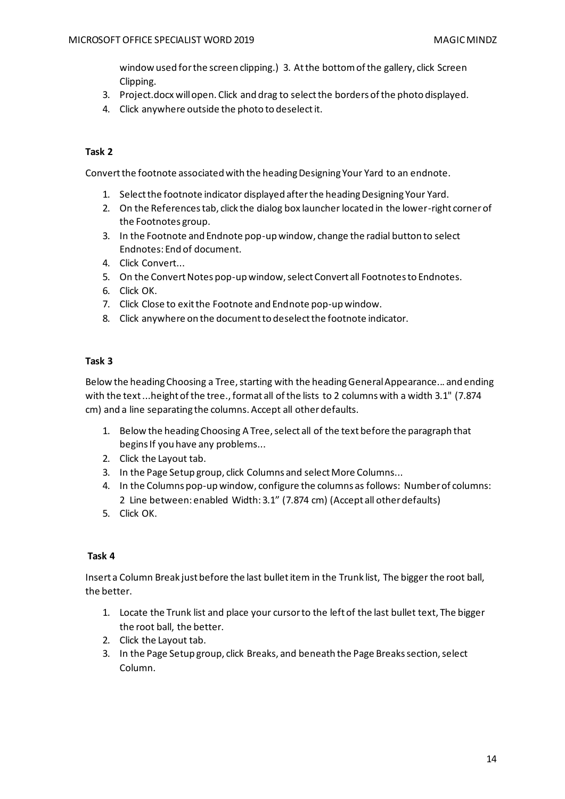window used for the screen clipping.) 3. At the bottom of the gallery, click Screen Clipping.

- 3. Project.docx will open. Click and drag to select the borders of the photo displayed.
- 4. Click anywhere outside the photo to deselect it.

# **Task 2**

Convert the footnote associated with the heading Designing Your Yard to an endnote.

- 1. Select the footnote indicator displayed after the heading Designing Your Yard.
- 2. On the References tab, click the dialog box launcher located in the lower-right corner of the Footnotes group.
- 3. In the Footnote and Endnote pop-up window, change the radial button to select Endnotes: End of document.
- 4. Click Convert...
- 5. On the Convert Notes pop-up window, select Convert all Footnotes to Endnotes.
- 6. Click OK.
- 7. Click Close to exit the Footnote and Endnote pop-up window.
- 8. Click anywhere on the document to deselect the footnote indicator.

## **Task 3**

Below the heading Choosing a Tree, starting with the heading General Appearance... and ending with the text ...height of the tree., format all of the lists to 2 columns with a width 3.1" (7.874 cm) and a line separating the columns. Accept all other defaults.

- 1. Below the heading Choosing A Tree, select all of the text before the paragraph that begins If you have any problems...
- 2. Click the Layout tab.
- 3. In the Page Setup group, click Columns and select More Columns...
- 4. In the Columns pop-up window, configure the columns as follows: Number of columns: 2 Line between: enabled Width: 3.1" (7.874 cm) (Accept all other defaults)
- 5. Click OK.

## **Task 4**

Insert a Column Break just before the last bullet item in the Trunk list, The bigger the root ball, the better.

- 1. Locate the Trunk list and place your cursor to the left of the last bullet text, The bigger the root ball, the better.
- 2. Click the Layout tab.
- 3. In the Page Setup group, click Breaks, and beneath the Page Breaks section, select Column.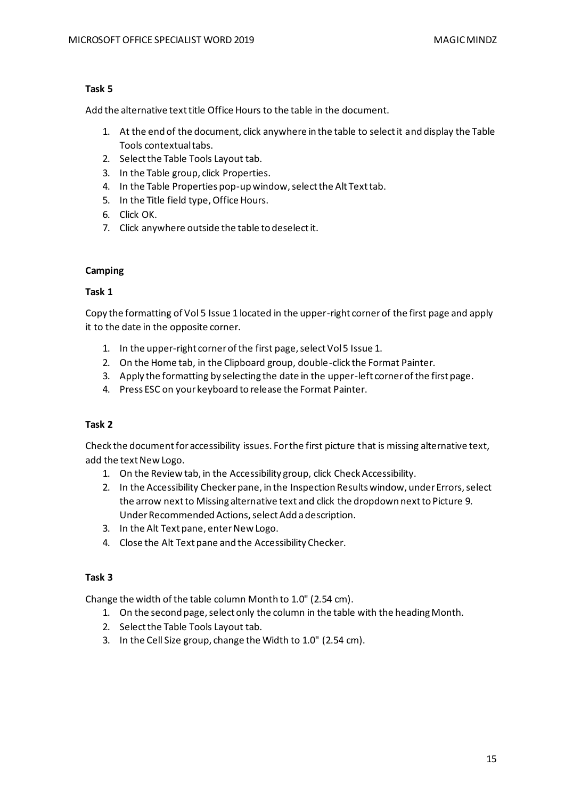Add the alternative text title Office Hours to the table in the document.

- 1. At the end of the document, click anywhere in the table to select it and display the Table Tools contextual tabs.
- 2. Select the Table Tools Layout tab.
- 3. In the Table group, click Properties.
- 4. In the Table Properties pop-up window, select the Alt Text tab.
- 5. In the Title field type, Office Hours.
- 6. Click OK.
- 7. Click anywhere outside the table to deselect it.

# **Camping**

# **Task 1**

Copy the formatting of Vol 5 Issue 1 located in the upper-right corner of the first page and apply it to the date in the opposite corner.

- 1. In the upper-right corner of the first page, select Vol 5 Issue 1.
- 2. On the Home tab, in the Clipboard group, double-click the Format Painter.
- 3. Apply the formatting by selecting the date in the upper-left corner of the first page.
- 4. Press ESC on your keyboard to release the Format Painter.

# **Task 2**

Check the document for accessibility issues. For the first picture that is missing alternative text, add the text New Logo.

- 1. On the Review tab, in the Accessibility group, click Check Accessibility.
- 2. In the Accessibility Checker pane, in the Inspection Results window, under Errors, select the arrow next to Missing alternative text and click the dropdown next to Picture 9. Under Recommended Actions, select Add a description.
- 3. In the Alt Text pane, enter New Logo.
- 4. Close the Alt Text pane and the Accessibility Checker.

# **Task 3**

Change the width of the table column Month to 1.0" (2.54 cm).

- 1. On the second page, select only the column in the table with the heading Month.
- 2. Select the Table Tools Layout tab.
- 3. In the Cell Size group, change the Width to 1.0" (2.54 cm).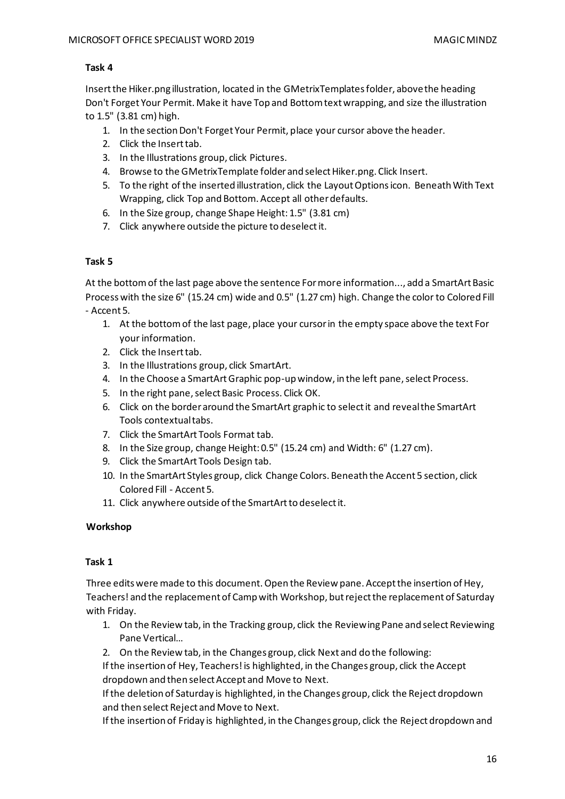Insert the Hiker.png illustration, located in the GMetrixTemplates folder, above the heading Don't Forget Your Permit. Make it have Top and Bottom text wrapping, and size the illustration to 1.5" (3.81 cm) high.

- 1. In the section Don't Forget Your Permit, place your cursor above the header.
- 2. Click the Insert tab.
- 3. In the Illustrations group, click Pictures.
- 4. Browse to the GMetrixTemplate folder and select Hiker.png. Click Insert.
- 5. To the right of the inserted illustration, click the Layout Options icon. Beneath With Text Wrapping, click Top and Bottom. Accept all other defaults.
- 6. In the Size group, change Shape Height: 1.5" (3.81 cm)
- 7. Click anywhere outside the picture to deselect it.

## **Task 5**

At the bottom of the last page above the sentence For more information..., add a SmartArt Basic Process with the size 6" (15.24 cm) wide and 0.5" (1.27 cm) high. Change the color to Colored Fill - Accent 5.

- 1. At the bottom of the last page, place your cursor in the empty space above the text For your information.
- 2. Click the Insert tab.
- 3. In the Illustrations group, click SmartArt.
- 4. In the Choose a SmartArt Graphic pop-up window, in the left pane, select Process.
- 5. In the right pane, select Basic Process. Click OK.
- 6. Click on the border around the SmartArt graphic to select it and reveal the SmartArt Tools contextual tabs.
- 7. Click the SmartArt Tools Format tab.
- 8. In the Size group, change Height: 0.5" (15.24 cm) and Width: 6" (1.27 cm).
- 9. Click the SmartArt Tools Design tab.
- 10. In the SmartArt Styles group, click Change Colors. Beneath the Accent 5 section, click Colored Fill - Accent 5.
- 11. Click anywhere outside of the SmartArt to deselect it.

## **Workshop**

## **Task 1**

Three edits were made to this document. Open the Review pane. Accept the insertion of Hey, Teachers! and the replacement of Camp with Workshop, but reject the replacement of Saturday with Friday.

- 1. On the Review tab, in the Tracking group, click the Reviewing Pane and select Reviewing Pane Vertical…
- 2. On the Review tab, in the Changes group, click Next and do the following:

If the insertion of Hey, Teachers! is highlighted, in the Changes group, click the Accept dropdown and then select Accept and Move to Next.

If the deletion of Saturday is highlighted, in the Changes group, click the Reject dropdown and then select Reject and Move to Next.

If the insertion of Friday is highlighted, in the Changes group, click the Reject dropdown and